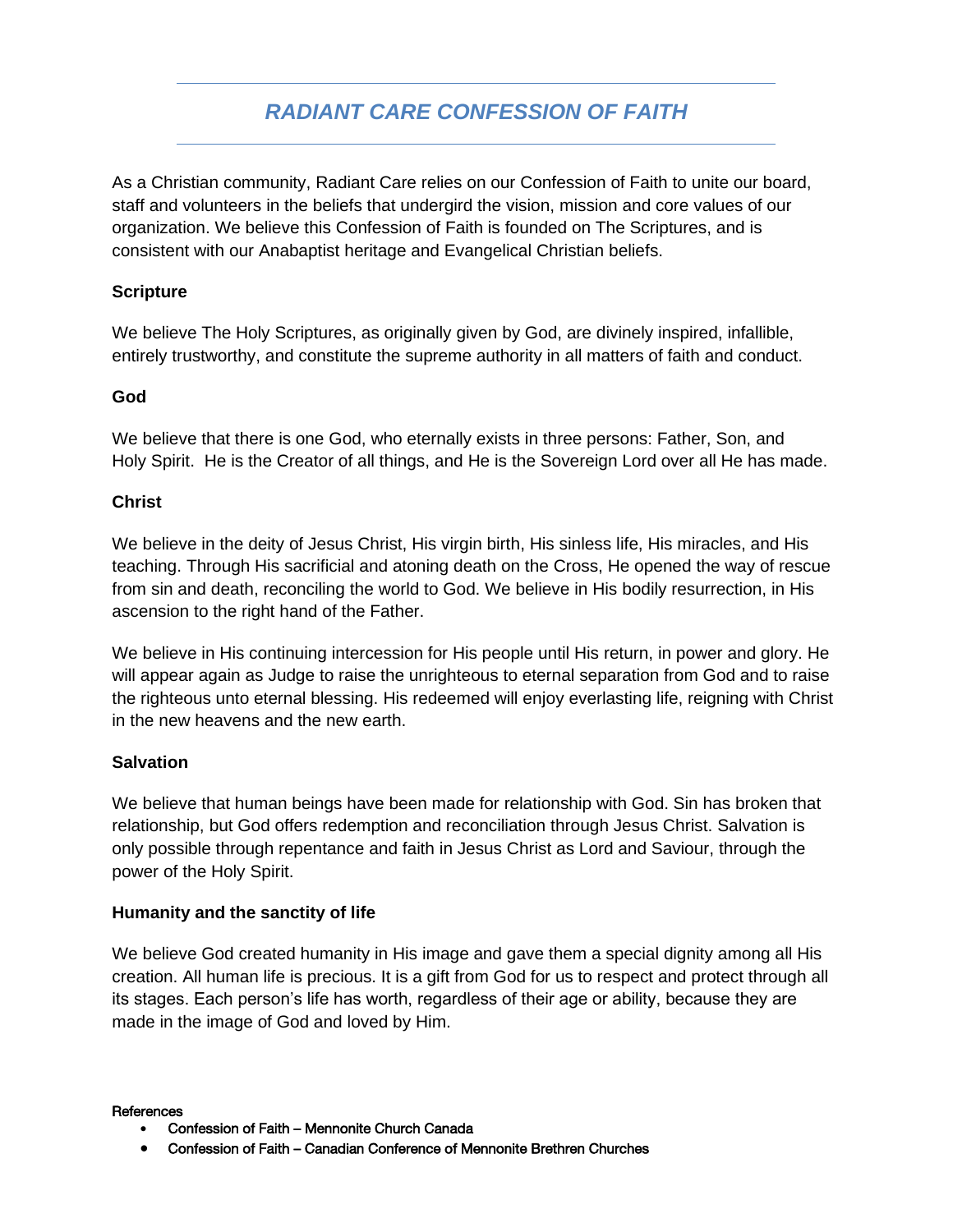# *RADIANT CARE CONFESSION OF FAITH*

As a Christian community, Radiant Care relies on our Confession of Faith to unite our board, staff and volunteers in the beliefs that undergird the vision, mission and core values of our organization. We believe this Confession of Faith is founded on The Scriptures, and is consistent with our Anabaptist heritage and Evangelical Christian beliefs.

### **Scripture**

We believe The Holy Scriptures, as originally given by God, are divinely inspired, infallible, entirely trustworthy, and constitute the supreme authority in all matters of faith and conduct.

## **God**

We believe that there is one God, who eternally exists in three persons: Father, Son, and Holy Spirit. He is the Creator of all things, and He is the Sovereign Lord over all He has made.

#### **Christ**

We believe in the deity of Jesus Christ, His virgin birth, His sinless life, His miracles, and His teaching. Through His sacrificial and atoning death on the Cross, He opened the way of rescue from sin and death, reconciling the world to God. We believe in His bodily resurrection, in His ascension to the right hand of the Father.

We believe in His continuing intercession for His people until His return, in power and glory. He will appear again as Judge to raise the unrighteous to eternal separation from God and to raise the righteous unto eternal blessing. His redeemed will enjoy everlasting life, reigning with Christ in the new heavens and the new earth.

#### **Salvation**

We believe that human beings have been made for relationship with God. Sin has broken that relationship, but God offers redemption and reconciliation through Jesus Christ. Salvation is only possible through repentance and faith in Jesus Christ as Lord and Saviour, through the power of the Holy Spirit.

#### **Humanity and the sanctity of life**

We believe God created humanity in His image and gave them a special dignity among all His creation. All human life is precious. It is a gift from God for us to respect and protect through all its stages. Each person's life has worth, regardless of their age or ability, because they are made in the image of God and loved by Him.

**References** 

- Confession of Faith Mennonite Church Canada
- Confession of Faith Canadian Conference of Mennonite Brethren Churches